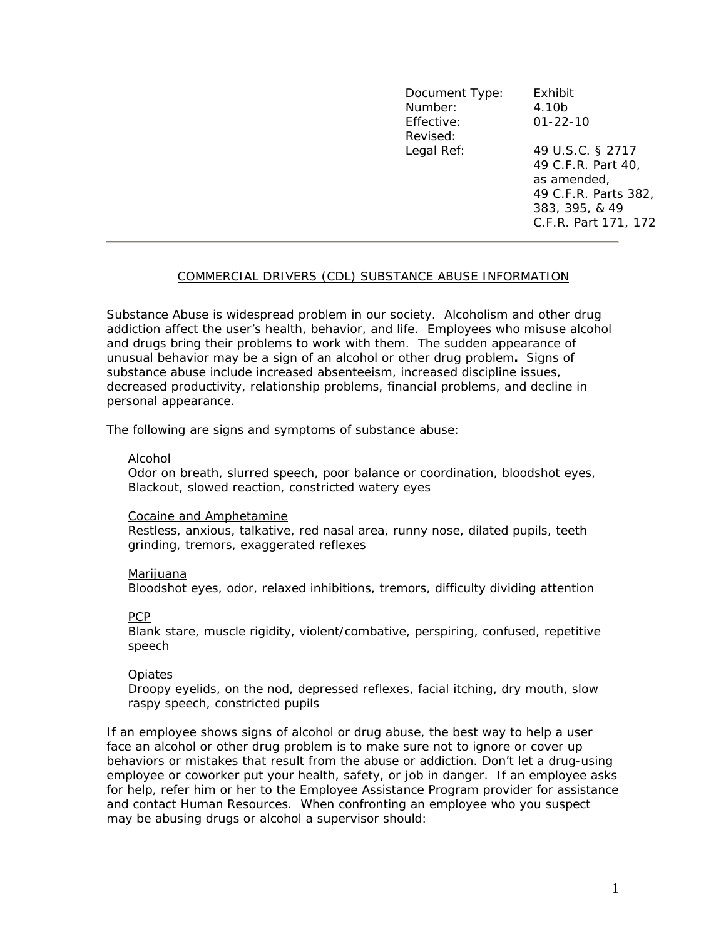| Document Type: | Exhibit              |
|----------------|----------------------|
| Number:        | 4.10b                |
| Effective:     | $01 - 22 - 10$       |
| Revised:       |                      |
| Legal Ref:     | 49 U.S.C. § 2717     |
|                | 49 C.F.R. Part 40,   |
|                | as amended,          |
|                | 49 C.F.R. Parts 382, |
|                | 383, 395, & 49       |
|                | C.F.R. Part 171, 172 |

## COMMERCIAL DRIVERS (CDL) SUBSTANCE ABUSE INFORMATION

Substance Abuse is widespread problem in our society. Alcoholism and other drug addiction affect the user's health, behavior, and life. Employees who misuse alcohol and drugs bring their problems to work with them. The sudden appearance of unusual behavior may be a sign of an alcohol or other drug problem**.** Signs of substance abuse include increased absenteeism, increased discipline issues, decreased productivity, relationship problems, financial problems, and decline in personal appearance.

The following are signs and symptoms of substance abuse:

### Alcohol

Odor on breath, slurred speech, poor balance or coordination, bloodshot eyes, Blackout, slowed reaction, constricted watery eyes

### Cocaine and Amphetamine

Restless, anxious, talkative, red nasal area, runny nose, dilated pupils, teeth grinding, tremors, exaggerated reflexes

### Marijuana

Bloodshot eyes, odor, relaxed inhibitions, tremors, difficulty dividing attention

# PCP

Blank stare, muscle rigidity, violent/combative, perspiring, confused, repetitive speech

# Opiates

Droopy eyelids, on the nod, depressed reflexes, facial itching, dry mouth, slow raspy speech, constricted pupils

If an employee shows signs of alcohol or drug abuse, the best way to help a user face an alcohol or other drug problem is to make sure not to ignore or cover up behaviors or mistakes that result from the abuse or addiction. Don't let a drug-using employee or coworker put your health, safety, or job in danger. If an employee asks for help, refer him or her to the Employee Assistance Program provider for assistance and contact Human Resources. When confronting an employee who you suspect may be abusing drugs or alcohol a supervisor should: